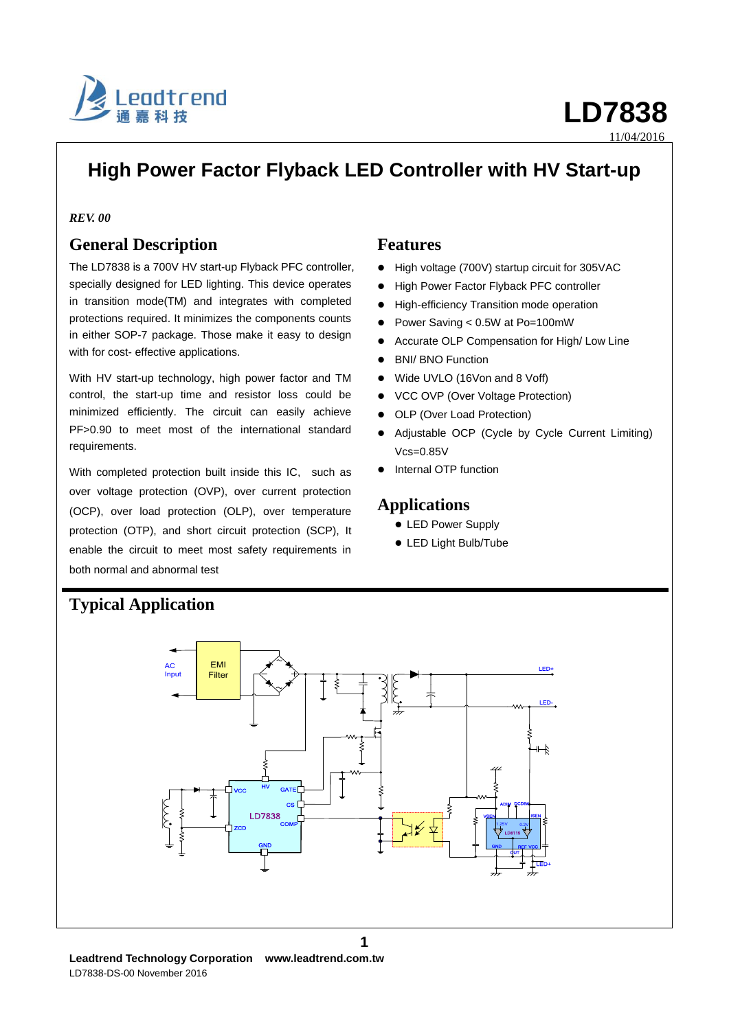

# **High Power Factor Flyback LED Controller with HV Start-up**

### *REV. 00*

## **General Description**

The LD7838 is a 700V HV start-up Flyback PFC controller, specially designed for LED lighting. This device operates in transition mode(TM) and integrates with completed protections required. It minimizes the components counts in either SOP-7 package. Those make it easy to design with for cost- effective applications.

With HV start-up technology, high power factor and TM control, the start-up time and resistor loss could be minimized efficiently. The circuit can easily achieve PF>0.90 to meet most of the international standard requirements.

With completed protection built inside this IC, such as over voltage protection (OVP), over current protection (OCP), over load protection (OLP), over temperature protection (OTP), and short circuit protection (SCP), It enable the circuit to meet most safety requirements in both normal and abnormal test

### **Features**

- High voltage (700V) startup circuit for 305VAC
- **High Power Factor Flyback PFC controller**
- $\bullet$  High-efficiency Transition mode operation
- Power Saving < 0.5W at Po=100mW
- Accurate OLP Compensation for High/ Low Line
- BNI/ BNO Function
- Wide UVLO (16Von and 8 Voff)
- VCC OVP (Over Voltage Protection)
- OLP (Over Load Protection)
- Adjustable OCP (Cycle by Cycle Current Limiting)  $Vcs=0.85V$
- Internal OTP function

### **Applications**

- LED Power Supply
- LED Light Bulb/Tube



# **Typical Application**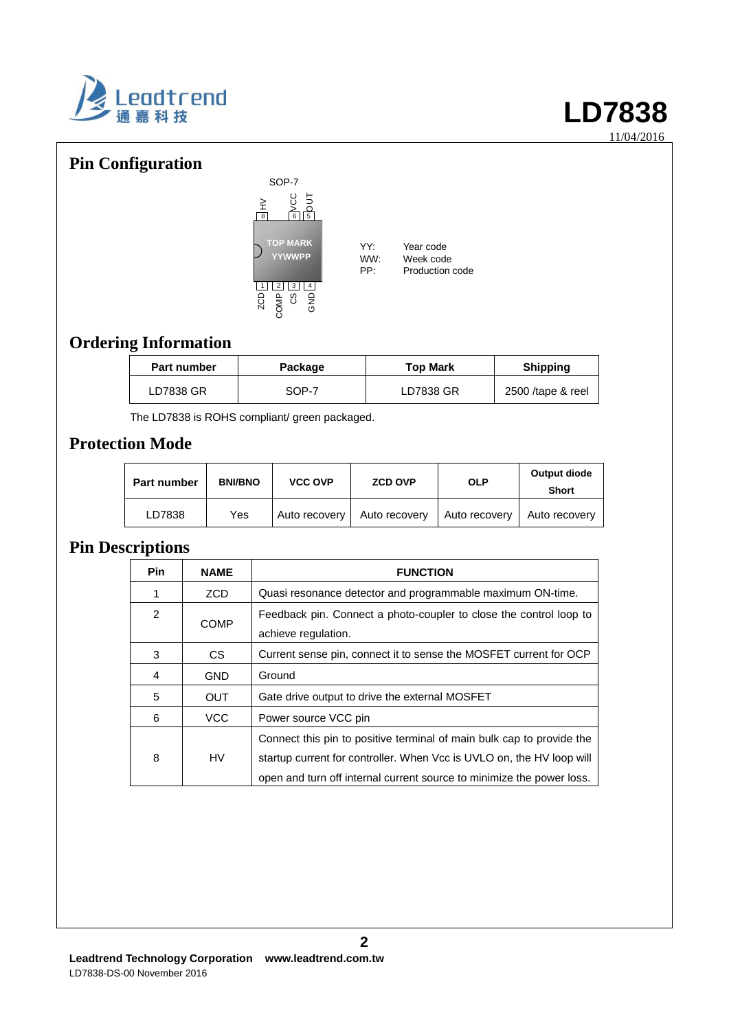

# **Pin Configuration**



YY: Year code<br>WW: Week code WW: Week code<br>PP: Production Production code

# **Ordering Information**

| <b>Part number</b> | <b>Top Mark</b><br>Package |           | <b>Shipping</b>   |
|--------------------|----------------------------|-----------|-------------------|
| LD7838 GR          | SOP-7                      | LD7838 GR | 2500 /tape & reel |

The LD7838 is ROHS compliant/ green packaged.

# **Protection Mode**

| <b>Part number</b> | <b>BNI/BNO</b> | <b>VCC OVP</b> | <b>ZCD OVP</b> | <b>OLP</b>    | Output diode<br><b>Short</b> |
|--------------------|----------------|----------------|----------------|---------------|------------------------------|
| LD7838             | Yes            | Auto recovery  | Auto recovery  | Auto recovery | Auto recovery                |

# **Pin Descriptions**

| <b>Pin</b>     | <b>NAME</b> | <b>FUNCTION</b>                                                                                                                                                                                                         |
|----------------|-------------|-------------------------------------------------------------------------------------------------------------------------------------------------------------------------------------------------------------------------|
|                | <b>ZCD</b>  | Quasi resonance detector and programmable maximum ON-time.                                                                                                                                                              |
| $\overline{2}$ | <b>COMP</b> | Feedback pin. Connect a photo-coupler to close the control loop to<br>achieve regulation.                                                                                                                               |
| 3              | CS.         | Current sense pin, connect it to sense the MOSFET current for OCP                                                                                                                                                       |
| 4              | <b>GND</b>  | Ground                                                                                                                                                                                                                  |
| 5              | <b>OUT</b>  | Gate drive output to drive the external MOSFET                                                                                                                                                                          |
| 6              | <b>VCC</b>  | Power source VCC pin                                                                                                                                                                                                    |
| 8              | HV          | Connect this pin to positive terminal of main bulk cap to provide the<br>startup current for controller. When Vcc is UVLO on, the HV loop will<br>open and turn off internal current source to minimize the power loss. |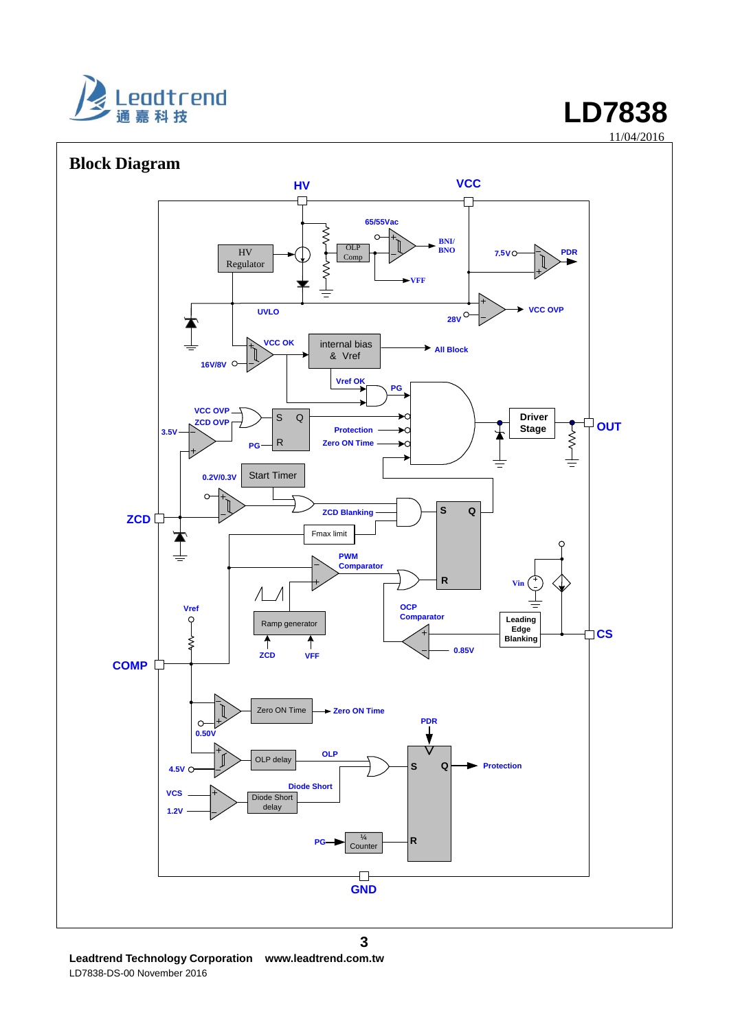



**Leadtrend Technology Corporation www.leadtrend.com.tw** LD7838-DS-00 November 2016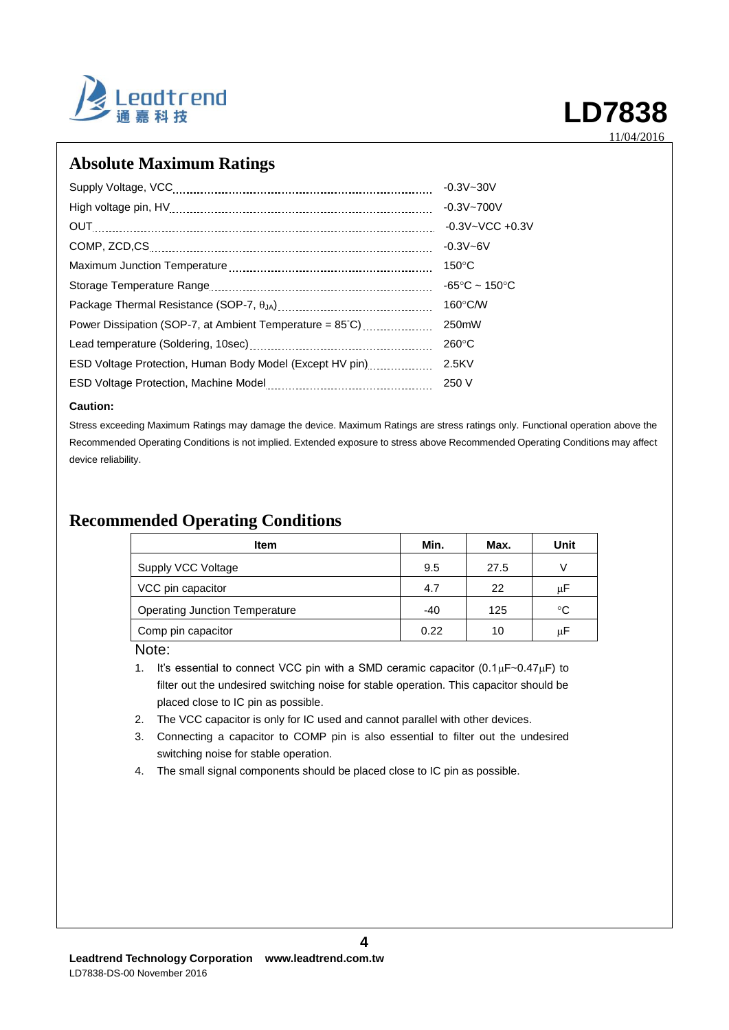

## **Absolute Maximum Ratings**

|                                                                    | $-0.3V - 30V$                      |
|--------------------------------------------------------------------|------------------------------------|
|                                                                    | $-0.3V - 700V$                     |
|                                                                    | $-0.3V - VCC + 0.3V$               |
|                                                                    | $-0.3V - 6V$                       |
|                                                                    | $150^{\circ}$ C                    |
|                                                                    | $-65^{\circ}$ C ~ 150 $^{\circ}$ C |
|                                                                    | $160^{\circ}$ C/W                  |
| Power Dissipation (SOP-7, at Ambient Temperature = $85^{\circ}$ C) | 250mW                              |
|                                                                    | $260^{\circ}$ C                    |
| ESD Voltage Protection, Human Body Model (Except HV pin)           | 2.5KV                              |
|                                                                    | 250 V                              |

#### **Caution:**

Stress exceeding Maximum Ratings may damage the device. Maximum Ratings are stress ratings only. Functional operation above the Recommended Operating Conditions is not implied. Extended exposure to stress above Recommended Operating Conditions may affect device reliability.

## **Recommended Operating Conditions**

| ltem                           | Min.  | Max. | Unit |
|--------------------------------|-------|------|------|
| Supply VCC Voltage             | 9.5   | 27.5 | V    |
| VCC pin capacitor              | 4.7   | 22   | μF   |
| Operating Junction Temperature | $-40$ | 125  | °C   |
| Comp pin capacitor             | 0.22  | 10   | μF   |

Note:

1. It's essential to connect VCC pin with a SMD ceramic capacitor  $(0.1 \mu F \sim 0.47 \mu F)$  to filter out the undesired switching noise for stable operation. This capacitor should be placed close to IC pin as possible.

2. The VCC capacitor is only for IC used and cannot parallel with other devices.

3. Connecting a capacitor to COMP pin is also essential to filter out the undesired switching noise for stable operation.

**4**

4. The small signal components should be placed close to IC pin as possible.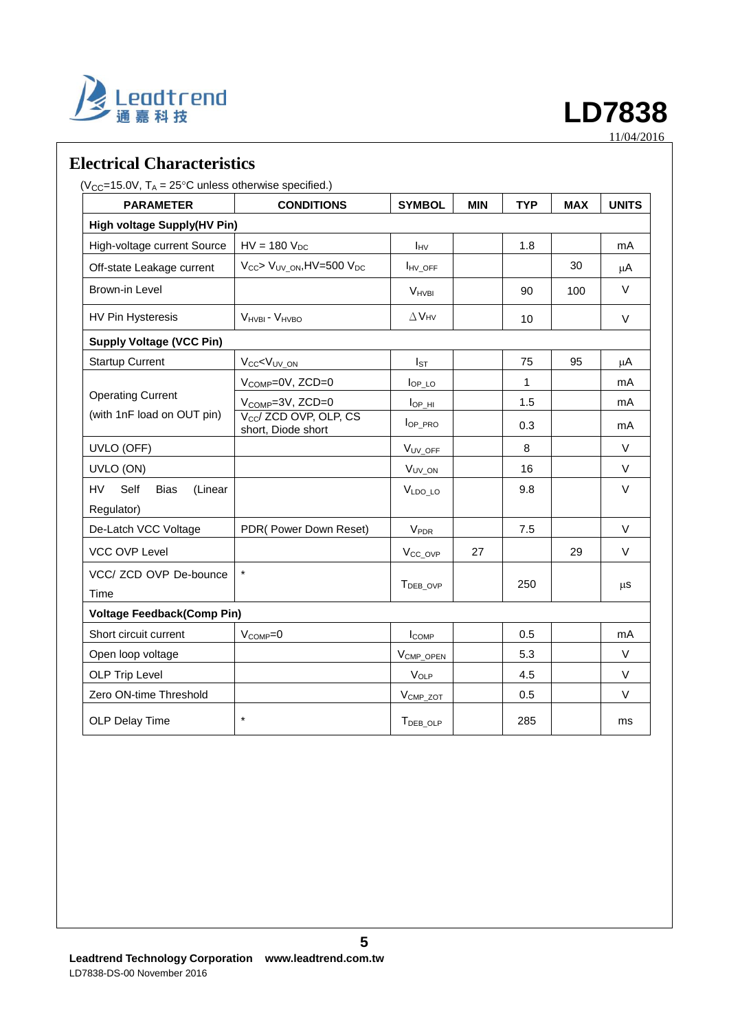

## **Electrical Characteristics**

 $(V_{CC} = 15.0V, T_A = 25^{\circ}C$  unless otherwise specified.)

| <b>PARAMETER</b>                                   | <b>CONDITIONS</b>                                        | <b>SYMBOL</b>          | <b>MIN</b> | <b>TYP</b> | <b>MAX</b> | <b>UNITS</b> |
|----------------------------------------------------|----------------------------------------------------------|------------------------|------------|------------|------------|--------------|
| <b>High voltage Supply(HV Pin)</b>                 |                                                          |                        |            |            |            |              |
| High-voltage current Source                        | $HV = 180 VDC$                                           | IHV                    |            | 1.8        |            | mA           |
| Off-state Leakage current                          | $V_{CC}$ > $V_{UV}$ <sub>ON</sub> , HV=500 $V_{DC}$      | <b>IHV_OFF</b>         |            |            | 30         | μA           |
| Brown-in Level                                     |                                                          | V <sub>HVBI</sub>      |            | 90         | 100        | $\vee$       |
| <b>HV Pin Hysteresis</b>                           | V <sub>HVBI</sub> - V <sub>HVBO</sub>                    | $\Delta$ VHV           |            | 10         |            | $\vee$       |
| <b>Supply Voltage (VCC Pin)</b>                    |                                                          |                        |            |            |            |              |
| <b>Startup Current</b>                             | V <sub>CC</sub> <v<sub>UV ON</v<sub>                     | $I_{ST}$               |            | 75         | 95         | μA           |
|                                                    | $V_{\text{COMP}}=0V$ , ZCD=0                             | $IOP\_LO$              |            | 1          |            | mA           |
| <b>Operating Current</b>                           | $V_{\text{COMP}}=3V, ZCD=0$                              | $I_{OP_HI}$            |            | 1.5        |            | mA           |
| (with 1nF load on OUT pin)                         | V <sub>cc</sub> / ZCD OVP, OLP, CS<br>short, Diode short | lop_pro                |            | 0.3        |            | mA           |
| UVLO (OFF)                                         |                                                          | V <sub>UV_OFF</sub>    |            | 8          |            | $\vee$       |
| UVLO (ON)                                          |                                                          | V <sub>UV_ON</sub>     |            | 16         |            | $\vee$       |
| HV<br>Self<br><b>Bias</b><br>(Linear<br>Regulator) |                                                          | VLDO LO                |            | 9.8        |            | $\vee$       |
| De-Latch VCC Voltage                               | PDR(Power Down Reset)                                    | <b>V<sub>PDR</sub></b> |            | 7.5        |            | $\vee$       |
| VCC OVP Level                                      |                                                          | V <sub>CC_OVP</sub>    | 27         |            | 29         | $\vee$       |
| VCC/ ZCD OVP De-bounce<br>Time                     | $\star$                                                  | T <sub>DEB</sub> OVP   |            | 250        |            | μS           |
| <b>Voltage Feedback(Comp Pin)</b>                  |                                                          |                        |            |            |            |              |
| Short circuit current                              | $V_{COMP} = 0$                                           | <b>ICOMP</b>           |            | 0.5        |            | mA           |
| Open loop voltage                                  |                                                          | V <sub>CMP_OPEN</sub>  |            | 5.3        |            | $\vee$       |
| <b>OLP Trip Level</b>                              |                                                          | VOLP                   |            | 4.5        |            | $\vee$       |
| Zero ON-time Threshold                             |                                                          | $V_{\text{CMP\_ZOT}}$  |            | 0.5        |            | $\vee$       |
| OLP Delay Time                                     | $\star$                                                  | TDEB_OLP               |            | 285        |            | ms           |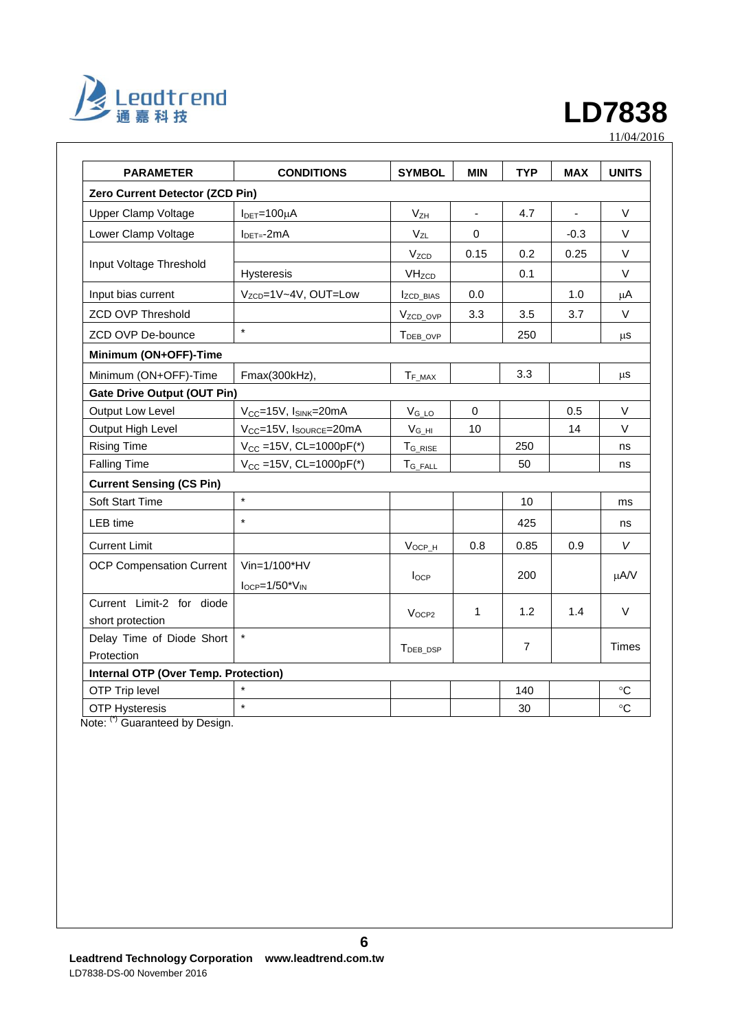

| <b>PARAMETER</b>                                                       | <b>CONDITIONS</b>                               | <b>SYMBOL</b>           | <b>MIN</b> | <b>TYP</b>     | <b>MAX</b> | <b>UNITS</b> |
|------------------------------------------------------------------------|-------------------------------------------------|-------------------------|------------|----------------|------------|--------------|
| Zero Current Detector (ZCD Pin)                                        |                                                 |                         |            |                |            |              |
| <b>Upper Clamp Voltage</b>                                             | $IDET=100µA$                                    | V <sub>ZH</sub>         |            | 4.7            | ä,         | V            |
| Lower Clamp Voltage                                                    | $I_{\text{DET} = -2mA}$                         |                         | 0          |                | $-0.3$     | V            |
|                                                                        |                                                 | <b>V<sub>ZCD</sub></b>  | 0.15       | 0.2            | 0.25       | V            |
| Input Voltage Threshold                                                | Hysteresis                                      | <b>VH<sub>zCD</sub></b> |            | 0.1            |            | $\vee$       |
| Input bias current                                                     | V <sub>ZCD</sub> =1V~4V, OUT=Low                | IzCD_BIAS               | 0.0        |                | 1.0        | μA           |
| <b>ZCD OVP Threshold</b>                                               |                                                 | V <sub>ZCD_OVP</sub>    | 3.3        | 3.5            | 3.7        | V            |
| ZCD OVP De-bounce                                                      | $\star$                                         | T <sub>DEB_OVP</sub>    |            | 250            |            | μS           |
| Minimum (ON+OFF)-Time                                                  |                                                 |                         |            |                |            |              |
| Minimum (ON+OFF)-Time                                                  | Fmax(300kHz),                                   | $T_{F\_MAX}$            |            | 3.3            |            | μS           |
| <b>Gate Drive Output (OUT Pin)</b>                                     |                                                 |                         |            |                |            |              |
| <b>Output Low Level</b>                                                | $V_{CC}$ =15V, $I_{SINK}$ =20mA                 | $V_{G\_LO}$             | $\Omega$   |                | 0.5        | V            |
| Output High Level                                                      | V <sub>CC</sub> =15V, I <sub>SOURCE</sub> =20mA | $V_{G_HH}$              | 10         |                | 14         | V            |
| <b>Rising Time</b>                                                     | $V_{CC}$ =15V, CL=1000pF(*)                     | $T_{G\_RISE}$           |            | 250            |            | ns           |
| <b>Falling Time</b>                                                    | $V_{CC} = 15V$ , CL=1000pF(*)                   | $T_{G\_FALL}$           |            | 50             |            | ns           |
| <b>Current Sensing (CS Pin)</b>                                        |                                                 |                         |            |                |            |              |
| Soft Start Time                                                        | $\star$                                         |                         |            | 10             |            | ms           |
| LEB time                                                               | $\star$                                         |                         |            | 425            |            | ns           |
| <b>Current Limit</b>                                                   |                                                 | $V_{OCP_H}$             | 0.8        | 0.85           | 0.9        | V            |
| <b>OCP Compensation Current</b>                                        | Vin=1/100*HV                                    |                         |            |                |            |              |
|                                                                        | $I_{OCP} = 1/50$ <sup>*</sup> $V_{IN}$          | locp                    |            | 200            |            | μA/V         |
| Current Limit-2 for diode                                              |                                                 | V <sub>OCP2</sub>       | 1          | 1.2            | 1.4        | V            |
| short protection                                                       |                                                 |                         |            |                |            |              |
| Delay Time of Diode Short                                              | $\star$                                         | T <sub>DEB_DSP</sub>    |            | $\overline{7}$ |            | <b>Times</b> |
| Protection                                                             |                                                 |                         |            |                |            |              |
| Internal OTP (Over Temp. Protection)                                   |                                                 |                         |            |                |            |              |
| OTP Trip level                                                         |                                                 |                         |            | 140            |            | $^{\circ}C$  |
| <b>OTP Hysteresis</b><br>$N$ loto: $\binom{7}{1}$ Cuprantand by Denian | $\star$                                         |                         |            | 30             |            | $^{\circ}C$  |

Note: (\*) Guaranteed by Design.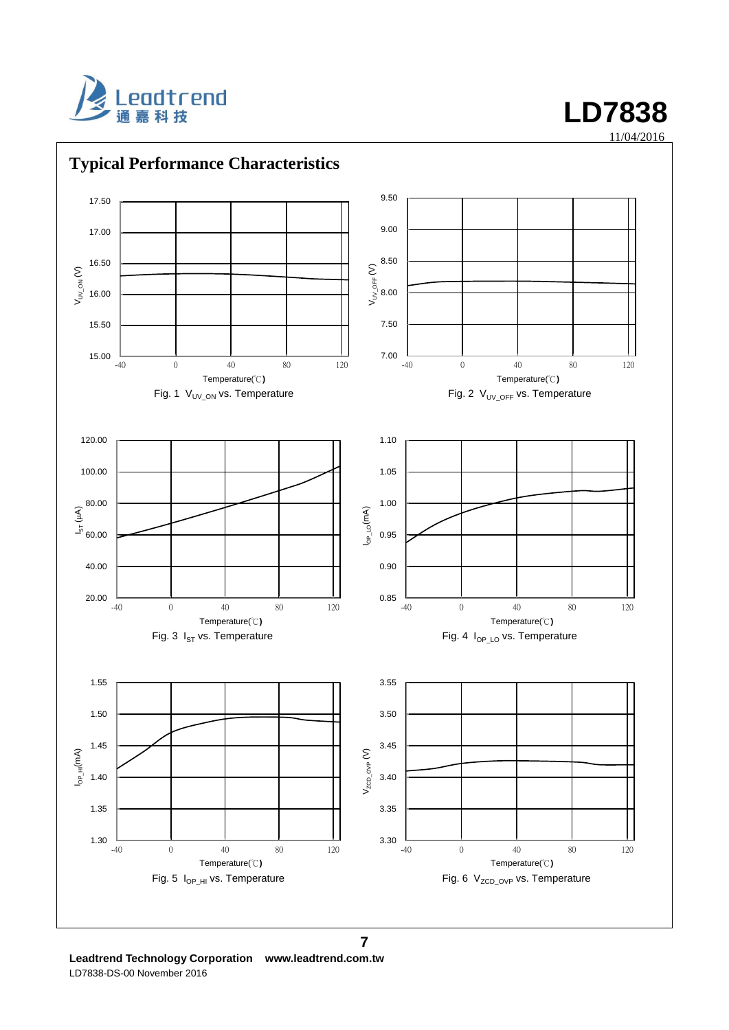



**Leadtrend Technology Corporation www.leadtrend.com.tw** LD7838-DS-00 November 2016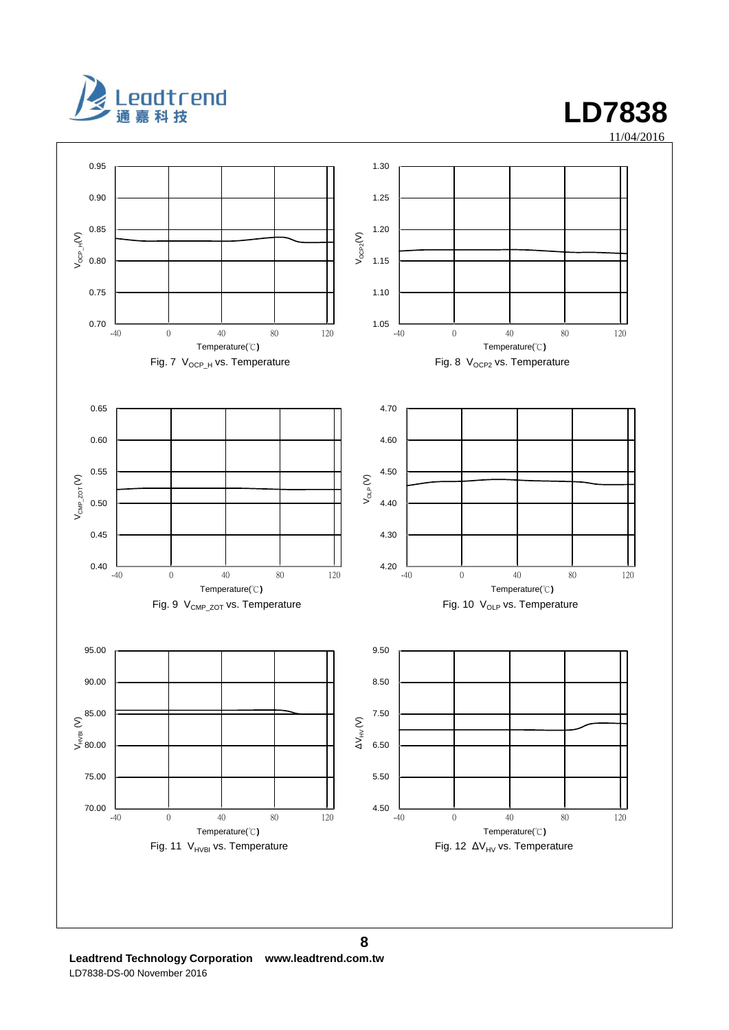



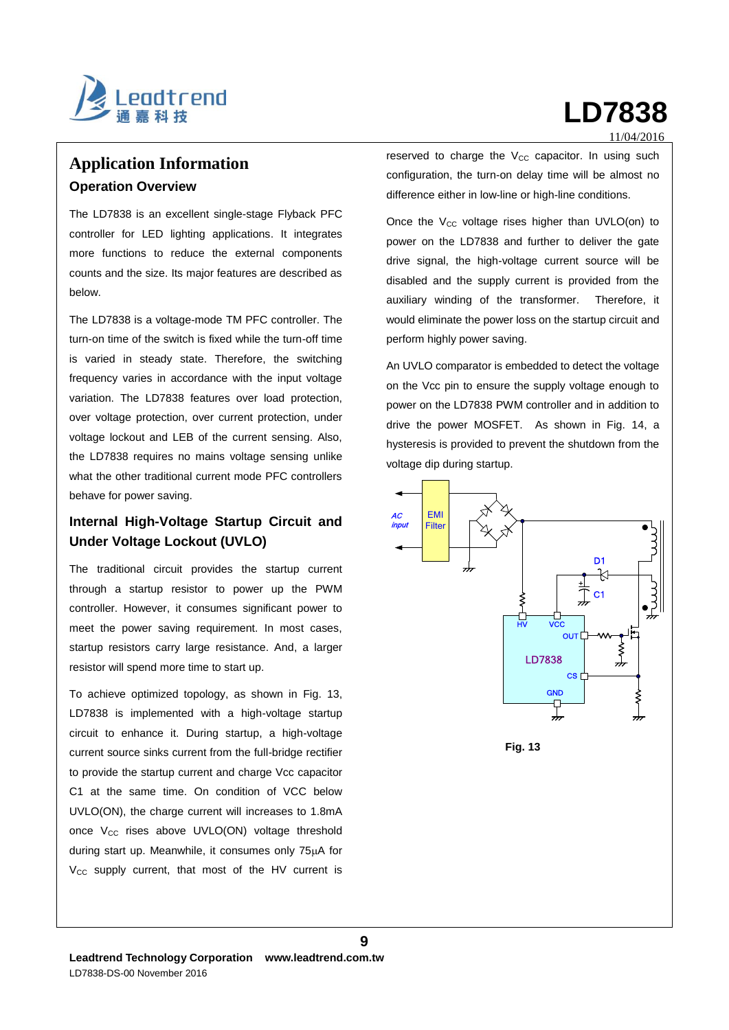

# **Application Information Operation Overview**

The LD7838 is an excellent single-stage Flyback PFC controller for LED lighting applications. It integrates more functions to reduce the external components counts and the size. Its major features are described as below.

The LD7838 is a voltage-mode TM PFC controller. The turn-on time of the switch is fixed while the turn-off time is varied in steady state. Therefore, the switching frequency varies in accordance with the input voltage variation. The LD7838 features over load protection, over voltage protection, over current protection, under voltage lockout and LEB of the current sensing. Also, the LD7838 requires no mains voltage sensing unlike what the other traditional current mode PFC controllers behave for power saving.

### **Internal High-Voltage Startup Circuit and Under Voltage Lockout (UVLO)**

The traditional circuit provides the startup current through a startup resistor to power up the PWM controller. However, it consumes significant power to meet the power saving requirement. In most cases, startup resistors carry large resistance. And, a larger resistor will spend more time to start up.

To achieve optimized topology, as shown in Fig. 13, LD7838 is implemented with a high-voltage startup circuit to enhance it. During startup, a high-voltage current source sinks current from the full-bridge rectifier to provide the startup current and charge Vcc capacitor C1 at the same time. On condition of VCC below UVLO(ON), the charge current will increases to 1.8mA once V<sub>CC</sub> rises above UVLO(ON) voltage threshold during start up. Meanwhile, it consumes only  $75\mu A$  for  $V_{CC}$  supply current, that most of the HV current is

#### 11/04/2016

reserved to charge the  $V_{CC}$  capacitor. In using such configuration, the turn-on delay time will be almost no difference either in low-line or high-line conditions.

Once the  $V_{CC}$  voltage rises higher than UVLO(on) to power on the LD7838 and further to deliver the gate drive signal, the high-voltage current source will be disabled and the supply current is provided from the auxiliary winding of the transformer. Therefore, it would eliminate the power loss on the startup circuit and perform highly power saving.

An UVLO comparator is embedded to detect the voltage on the Vcc pin to ensure the supply voltage enough to power on the LD7838 PWM controller and in addition to drive the power MOSFET. As shown in Fig. 14, a hysteresis is provided to prevent the shutdown from the voltage dip during startup.

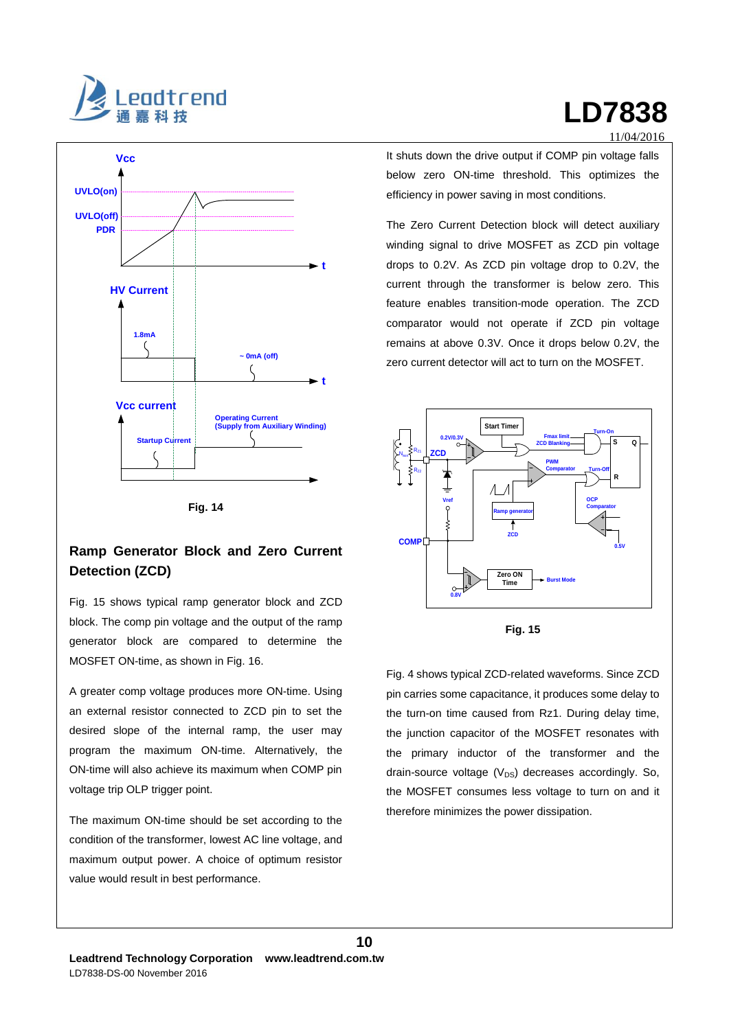



**Fig. 14**

### **Ramp Generator Block and Zero Current Detection (ZCD)**

Fig. 15 shows typical ramp generator block and ZCD block. The comp pin voltage and the output of the ramp generator block are compared to determine the MOSFET ON-time, as shown in Fig. 16.

A greater comp voltage produces more ON-time. Using an external resistor connected to ZCD pin to set the desired slope of the internal ramp, the user may program the maximum ON-time. Alternatively, the ON-time will also achieve its maximum when COMP pin voltage trip OLP trigger point.

The maximum ON-time should be set according to the condition of the transformer, lowest AC line voltage, and maximum output power. A choice of optimum resistor value would result in best performance.

11/04/2016 It shuts down the drive output if COMP pin voltage falls below zero ON-time threshold. This optimizes the

The Zero Current Detection block will detect auxiliary winding signal to drive MOSFET as ZCD pin voltage drops to 0.2V. As ZCD pin voltage drop to 0.2V, the current through the transformer is below zero. This feature enables transition-mode operation. The ZCD comparator would not operate if ZCD pin voltage remains at above 0.3V. Once it drops below 0.2V, the zero current detector will act to turn on the MOSFET.

efficiency in power saving in most conditions.





Fig. 4 shows typical ZCD-related waveforms. Since ZCD pin carries some capacitance, it produces some delay to the turn-on time caused from Rz1. During delay time, the junction capacitor of the MOSFET resonates with the primary inductor of the transformer and the drain-source voltage  $(V_{DS})$  decreases accordingly. So, the MOSFET consumes less voltage to turn on and it therefore minimizes the power dissipation.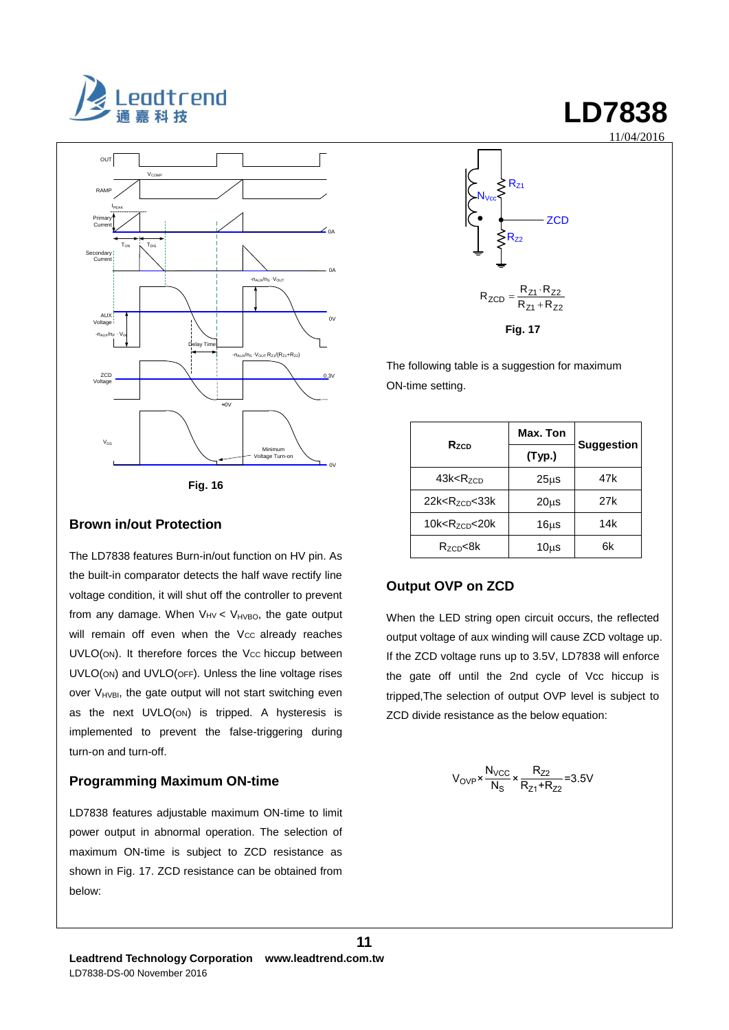



#### **Brown in/out Protection**

The LD7838 features Burn-in/out function on HV pin. As the built-in comparator detects the half wave rectify line voltage condition, it will shut off the controller to prevent from any damage. When  $V_{HVEO}$ , the gate output will remain off even when the Vcc already reaches UVLO(ON). It therefore forces the Vcc hiccup between UVLO(ON) and UVLO(OFF). Unless the line voltage rises over  $V_{HVBI}$ , the gate output will not start switching even as the next UVLO(ON) is tripped. A hysteresis is implemented to prevent the false-triggering during turn-on and turn-off.

### **Programming Maximum ON-time**

LD7838 features adjustable maximum ON-time to limit power output in abnormal operation. The selection of maximum ON-time is subject to ZCD resistance as shown in Fig. 17. ZCD resistance can be obtained from below:



The following table is a suggestion for maximum ON-time setting.

|                                  | Max. Ton          |                   |
|----------------------------------|-------------------|-------------------|
| $R_{ZCD}$                        | (Typ.)            | <b>Suggestion</b> |
| 43k < R <sub>ZCD</sub>           | 25 <sub>µ</sub> s | 47k               |
| $22k < R_{ZCD} < 33k$            | $20\mus$          | 27k               |
| $10k$ < R <sub>zcn</sub> < $20k$ | 16 <sub>µ</sub>   | 14k               |
| R <sub>zcn</sub> <8k             | $10\mus$          | 6k                |

### **Output OVP on ZCD**

When the LED string open circuit occurs, the reflected output voltage of aux winding will cause ZCD voltage up. If the ZCD voltage runs up to 3.5V, LD7838 will enforce the gate off until the 2nd cycle of Vcc hiccup is tripped,The selection of output OVP level is subject to ZCD divide resistance as the below equation:

$$
V_{\text{OVP}} \times \frac{N_{\text{VCC}}}{N_{\text{S}}} \times \frac{R_{Z2}}{R_{Z1} + R_{Z2}} = 3.5V
$$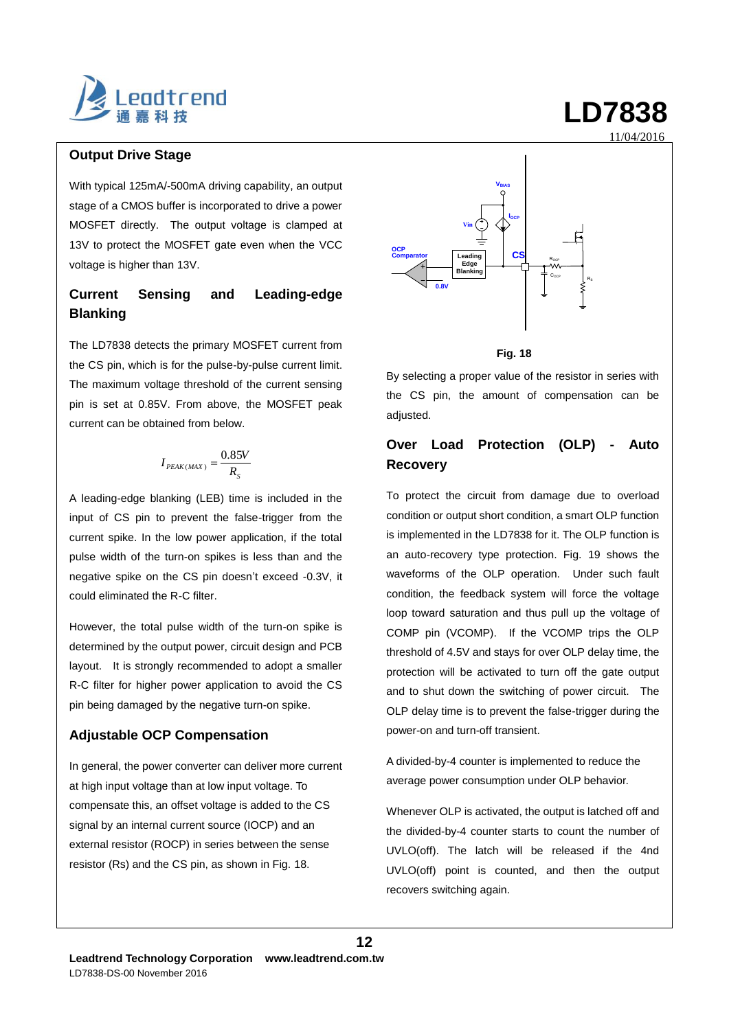

### **Output Drive Stage**

With typical 125mA/-500mA driving capability, an output stage of a CMOS buffer is incorporated to drive a power MOSFET directly. The output voltage is clamped at 13V to protect the MOSFET gate even when the VCC voltage is higher than 13V.

### **Current Sensing and Leading-edge Blanking**

The LD7838 detects the primary MOSFET current from the CS pin, which is for the pulse-by-pulse current limit. The maximum voltage threshold of the current sensing pin is set at 0.85V. From above, the MOSFET peak current can be obtained from below.

$$
I_{PEAK(MAX)} = \frac{0.85V}{R_s}
$$

A leading-edge blanking (LEB) time is included in the input of CS pin to prevent the false-trigger from the current spike. In the low power application, if the total pulse width of the turn-on spikes is less than and the negative spike on the CS pin doesn't exceed -0.3V, it could eliminated the R-C filter.

However, the total pulse width of the turn-on spike is determined by the output power, circuit design and PCB layout. It is strongly recommended to adopt a smaller R-C filter for higher power application to avoid the CS pin being damaged by the negative turn-on spike.

### **Adjustable OCP Compensation**

In general, the power converter can deliver more current at high input voltage than at low input voltage. To compensate this, an offset voltage is added to the CS signal by an internal current source (IOCP) and an external resistor (ROCP) in series between the sense resistor (Rs) and the CS pin, as shown in Fig. 18.



#### **Fig. 18**

By selecting a proper value of the resistor in series with the CS pin, the amount of compensation can be adjusted.

### **Over Load Protection (OLP) - Auto Recovery**

To protect the circuit from damage due to overload condition or output short condition, a smart OLP function is implemented in the LD7838 for it. The OLP function is an auto-recovery type protection. Fig. 19 shows the waveforms of the OLP operation. Under such fault condition, the feedback system will force the voltage loop toward saturation and thus pull up the voltage of COMP pin (VCOMP). If the VCOMP trips the OLP threshold of 4.5V and stays for over OLP delay time, the protection will be activated to turn off the gate output and to shut down the switching of power circuit. The OLP delay time is to prevent the false-trigger during the power-on and turn-off transient.

A divided-by-4 counter is implemented to reduce the average power consumption under OLP behavior.

Whenever OLP is activated, the output is latched off and the divided-by-4 counter starts to count the number of UVLO(off). The latch will be released if the 4nd UVLO(off) point is counted, and then the output recovers switching again.

**12**

11/04/2016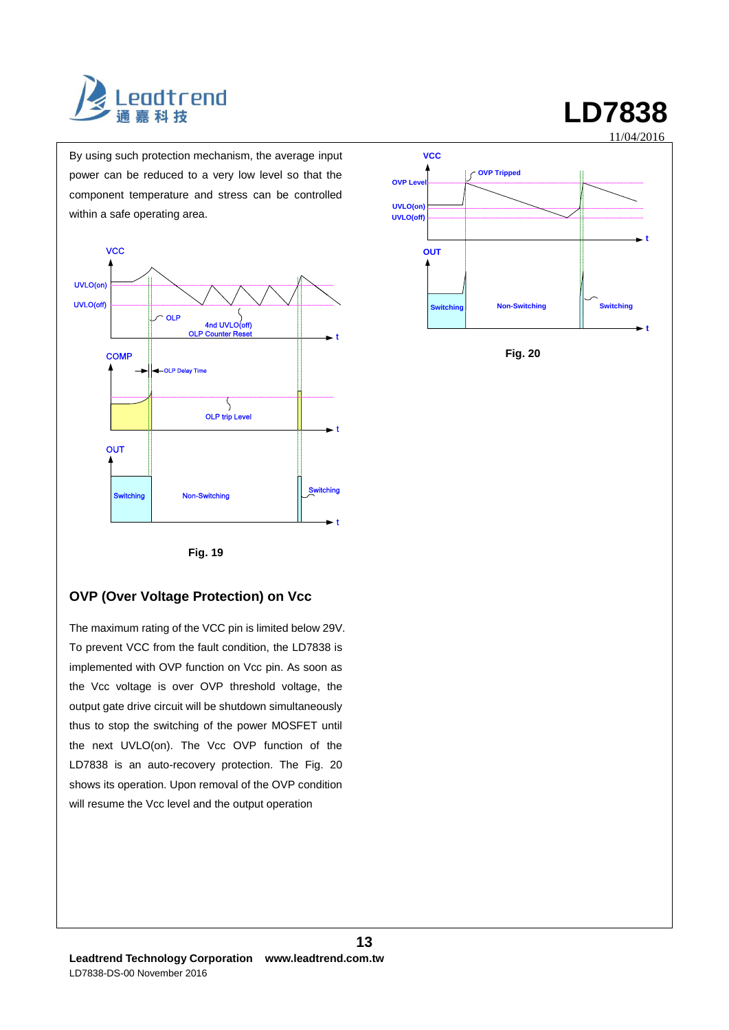

By using such protection mechanism, the average input power can be reduced to a very low level so that the component temperature and stress can be controlled within a safe operating area.





**Fig. 20**

#### **Fig. 19**

### **OVP (Over Voltage Protection) on Vcc**

The maximum rating of the VCC pin is limited below 29V. To prevent VCC from the fault condition, the LD7838 is implemented with OVP function on Vcc pin. As soon as the Vcc voltage is over OVP threshold voltage, the output gate drive circuit will be shutdown simultaneously thus to stop the switching of the power MOSFET until the next UVLO(on). The Vcc OVP function of the LD7838 is an auto-recovery protection. The Fig. 20 shows its operation. Upon removal of the OVP condition will resume the Vcc level and the output operation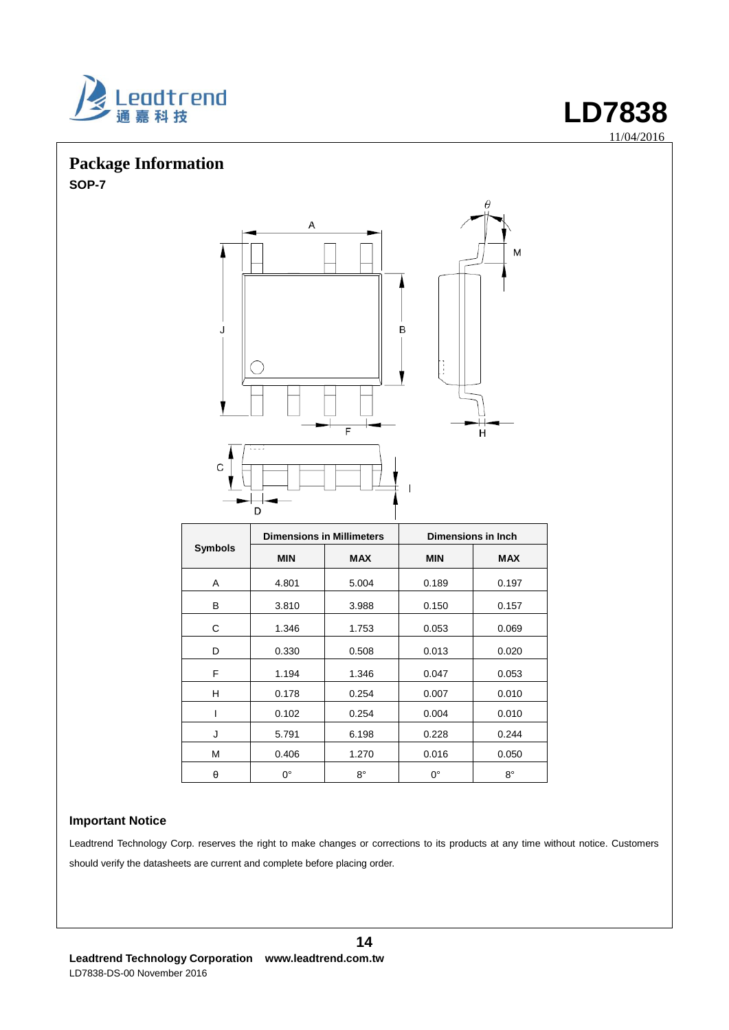

## **Package Information SOP-7**



|                |             | <b>Dimensions in Millimeters</b> | <b>Dimensions in Inch</b> |            |  |
|----------------|-------------|----------------------------------|---------------------------|------------|--|
| <b>Symbols</b> | <b>MIN</b>  | <b>MAX</b>                       | <b>MIN</b>                | <b>MAX</b> |  |
| A              | 4.801       | 5.004                            | 0.189                     | 0.197      |  |
| B              | 3.810       | 3.988                            | 0.150                     | 0.157      |  |
| C              | 1.346       | 1.753                            | 0.053                     | 0.069      |  |
| D              | 0.330       | 0.508                            | 0.013                     | 0.020      |  |
| F              | 1.194       | 1.346                            | 0.047                     | 0.053      |  |
| н              | 0.178       | 0.254                            | 0.007                     | 0.010      |  |
|                | 0.102       | 0.254                            | 0.004                     | 0.010      |  |
| J              | 5.791       | 6.198                            | 0.228                     | 0.244      |  |
| М              | 0.406       | 1.270                            | 0.016                     | 0.050      |  |
| θ              | $0^{\circ}$ | $8^{\circ}$                      | $0^{\circ}$               | 8°         |  |

### **Important Notice**

Leadtrend Technology Corp. reserves the right to make changes or corrections to its products at any time without notice. Customers should verify the datasheets are current and complete before placing order.

M

11/04/2016